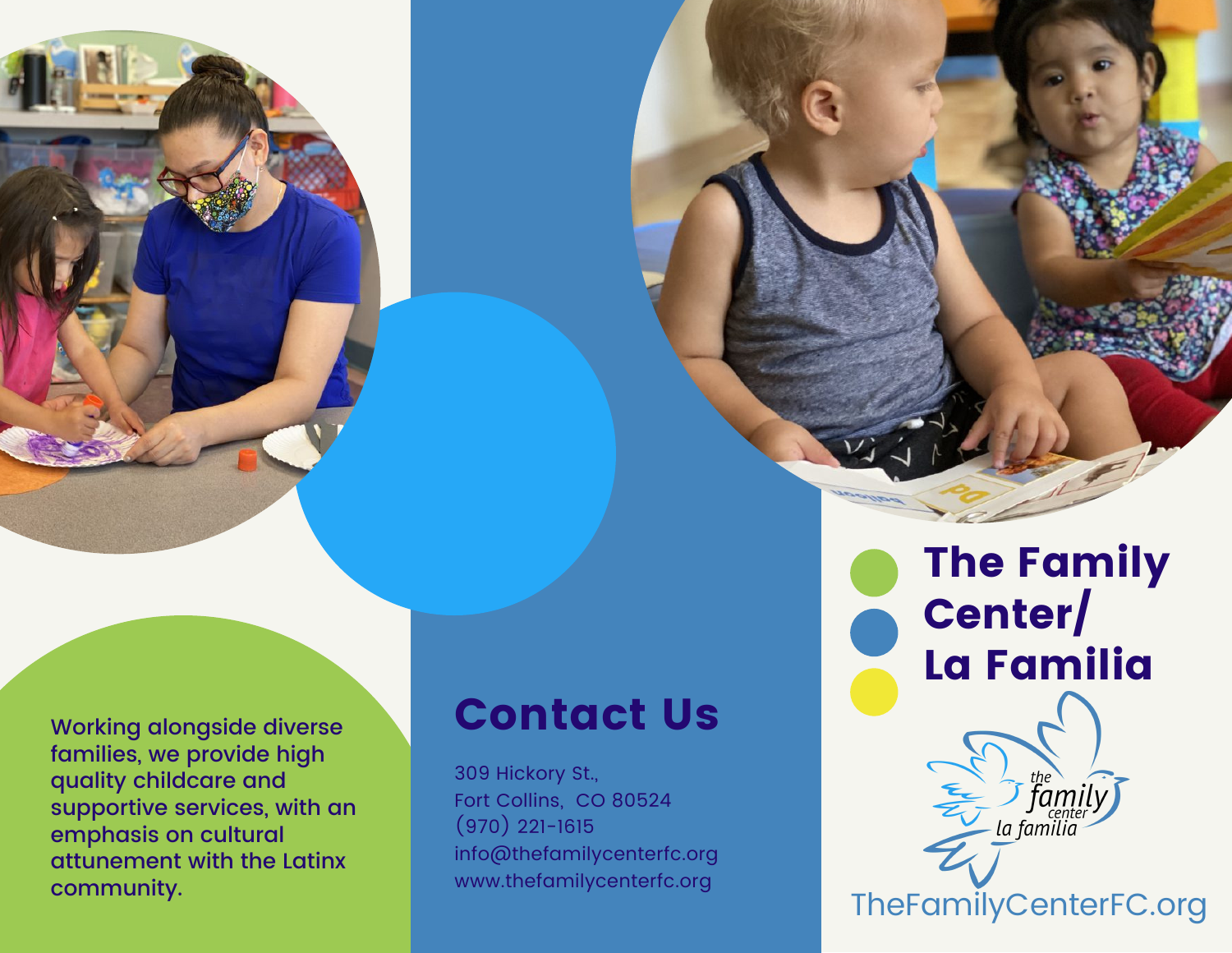

Working alongside diverse families, we provide high quality childcare and supportive services, with an emphasis on cultural attunement with the Latinx community.

# Contact Us

309 Hickory St., Fort Collins, CO 80524  $(970)$  221-1615 info@thefamilycenterfc.org www.thefamilycenterfc.org

The Family Center/ La Familia

TheFamilyCenterFC.org

la familia

 $\sum_{\substack{\text{the}\\ \text{center}}}^{\text{the}}$